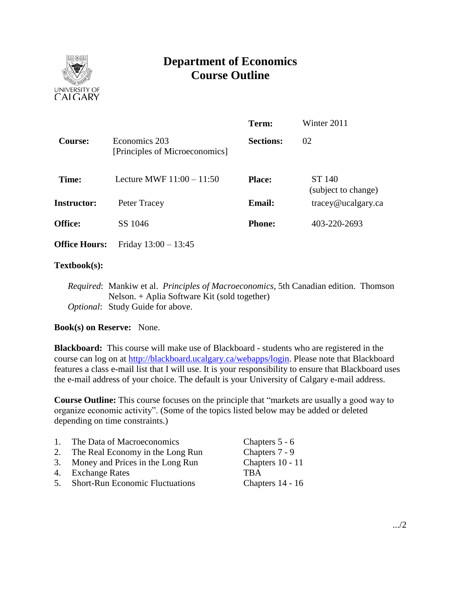

# **Department of Economics Course Outline**

|                      |                                                 | Term:            | Winter 2011                                     |
|----------------------|-------------------------------------------------|------------------|-------------------------------------------------|
| <b>Course:</b>       | Economics 203<br>[Principles of Microeconomics] | <b>Sections:</b> | 02                                              |
| Time:                | Lecture MWF $11:00 - 11:50$                     | <b>Place:</b>    | ST 140<br>(subject to change)                   |
| <b>Instructor:</b>   | Peter Tracey                                    | <b>Email:</b>    | $trace\$ <i>e</i> $u$ $c$ $a$ $g$ $arc$ $c$ $a$ |
| <b>Office:</b>       | SS 1046                                         | <b>Phone:</b>    | 403-220-2693                                    |
| <b>Office Hours:</b> | Friday $13:00 - 13:45$                          |                  |                                                 |

#### **Textbook(s):**

*Required*: Mankiw et al. *Principles of Macroeconomics*, 5th Canadian edition. Thomson Nelson. + Aplia Software Kit (sold together) *Optional*: Study Guide for above.

## **Book(s) on Reserve:** None.

**Blackboard:** This course will make use of Blackboard - students who are registered in the course can log on at [http://blackboard.ucalgary.ca/webapps/login.](http://blackboard.ucalgary.ca/webapps/login) Please note that Blackboard features a class e-mail list that I will use. It is your responsibility to ensure that Blackboard uses the e-mail address of your choice. The default is your University of Calgary e-mail address.

**Course Outline:** This course focuses on the principle that "markets are usually a good way to organize economic activity". (Some of the topics listed below may be added or deleted depending on time constraints.)

| $\mathbf{1}$ . | The Data of Macroeconomics             | Chapters 5 - 6   |
|----------------|----------------------------------------|------------------|
| 2.             | The Real Economy in the Long Run       | Chapters 7 - 9   |
|                | 3. Money and Prices in the Long Run    | Chapters 10 - 11 |
|                | 4. Exchange Rates                      | <b>TRA</b>       |
| 5.             | <b>Short-Run Economic Fluctuations</b> | Chapters 14 - 16 |
|                |                                        |                  |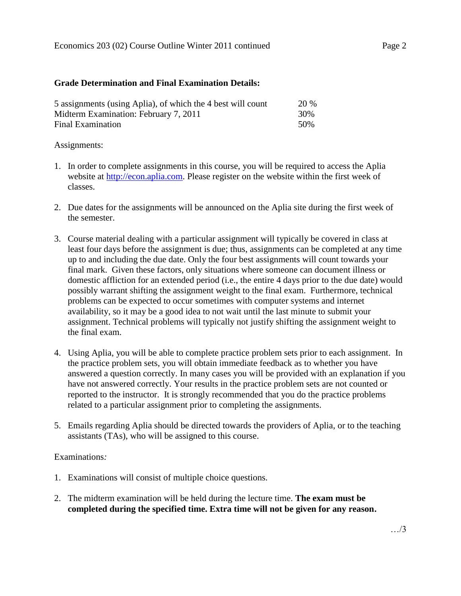### **Grade Determination and Final Examination Details:**

| 5 assignments (using Aplia), of which the 4 best will count | <b>20 %</b> |
|-------------------------------------------------------------|-------------|
| Midterm Examination: February 7, 2011                       | 30%         |
| Final Examination                                           | .50%        |

### Assignments:

- 1. In order to complete assignments in this course, you will be required to access the Aplia website at [http://econ.aplia.com.](http://econ.aplia.com/) Please register on the website within the first week of classes.
- 2. Due dates for the assignments will be announced on the Aplia site during the first week of the semester.
- 3. Course material dealing with a particular assignment will typically be covered in class at least four days before the assignment is due; thus, assignments can be completed at any time up to and including the due date. Only the four best assignments will count towards your final mark. Given these factors, only situations where someone can document illness or domestic affliction for an extended period (i.e., the entire 4 days prior to the due date) would possibly warrant shifting the assignment weight to the final exam. Furthermore, technical problems can be expected to occur sometimes with computer systems and internet availability, so it may be a good idea to not wait until the last minute to submit your assignment. Technical problems will typically not justify shifting the assignment weight to the final exam.
- 4. Using Aplia, you will be able to complete practice problem sets prior to each assignment. In the practice problem sets, you will obtain immediate feedback as to whether you have answered a question correctly. In many cases you will be provided with an explanation if you have not answered correctly. Your results in the practice problem sets are not counted or reported to the instructor. It is strongly recommended that you do the practice problems related to a particular assignment prior to completing the assignments.
- 5. Emails regarding Aplia should be directed towards the providers of Aplia, or to the teaching assistants (TAs), who will be assigned to this course.

## Examinations*:*

- 1. Examinations will consist of multiple choice questions.
- 2. The midterm examination will be held during the lecture time. **The exam must be completed during the specified time. Extra time will not be given for any reason.**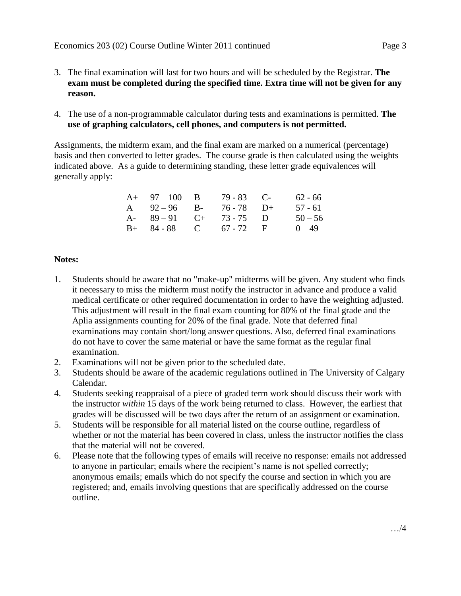- 3. The final examination will last for two hours and will be scheduled by the Registrar. **The exam must be completed during the specified time. Extra time will not be given for any reason.**
- 4. The use of a non-programmable calculator during tests and examinations is permitted. **The use of graphing calculators, cell phones, and computers is not permitted.**

Assignments, the midterm exam, and the final exam are marked on a numerical (percentage) basis and then converted to letter grades. The course grade is then calculated using the weights indicated above. As a guide to determining standing, these letter grade equivalences will generally apply:

| $A+ 97-100 B$          | $79 - 83$ C- | 62 - 66   |
|------------------------|--------------|-----------|
| A $92-96$ B-           | 76 - 78 D+   | 57 - 61   |
| A- $89-91$ C+ 73-75 D  |              | $50 - 56$ |
| $B+ 84-88$ C 67 - 72 F |              | $0 - 49$  |

## **Notes:**

- 1. Students should be aware that no "make-up" midterms will be given. Any student who finds it necessary to miss the midterm must notify the instructor in advance and produce a valid medical certificate or other required documentation in order to have the weighting adjusted. This adjustment will result in the final exam counting for 80% of the final grade and the Aplia assignments counting for 20% of the final grade. Note that deferred final examinations may contain short/long answer questions. Also, deferred final examinations do not have to cover the same material or have the same format as the regular final examination.
- 2. Examinations will not be given prior to the scheduled date.
- 3. Students should be aware of the academic regulations outlined in The University of Calgary Calendar.
- 4. Students seeking reappraisal of a piece of graded term work should discuss their work with the instructor *within* 15 days of the work being returned to class. However, the earliest that grades will be discussed will be two days after the return of an assignment or examination.
- 5. Students will be responsible for all material listed on the course outline, regardless of whether or not the material has been covered in class, unless the instructor notifies the class that the material will not be covered.
- 6. Please note that the following types of emails will receive no response: emails not addressed to anyone in particular; emails where the recipient's name is not spelled correctly; anonymous emails; emails which do not specify the course and section in which you are registered; and, emails involving questions that are specifically addressed on the course outline.